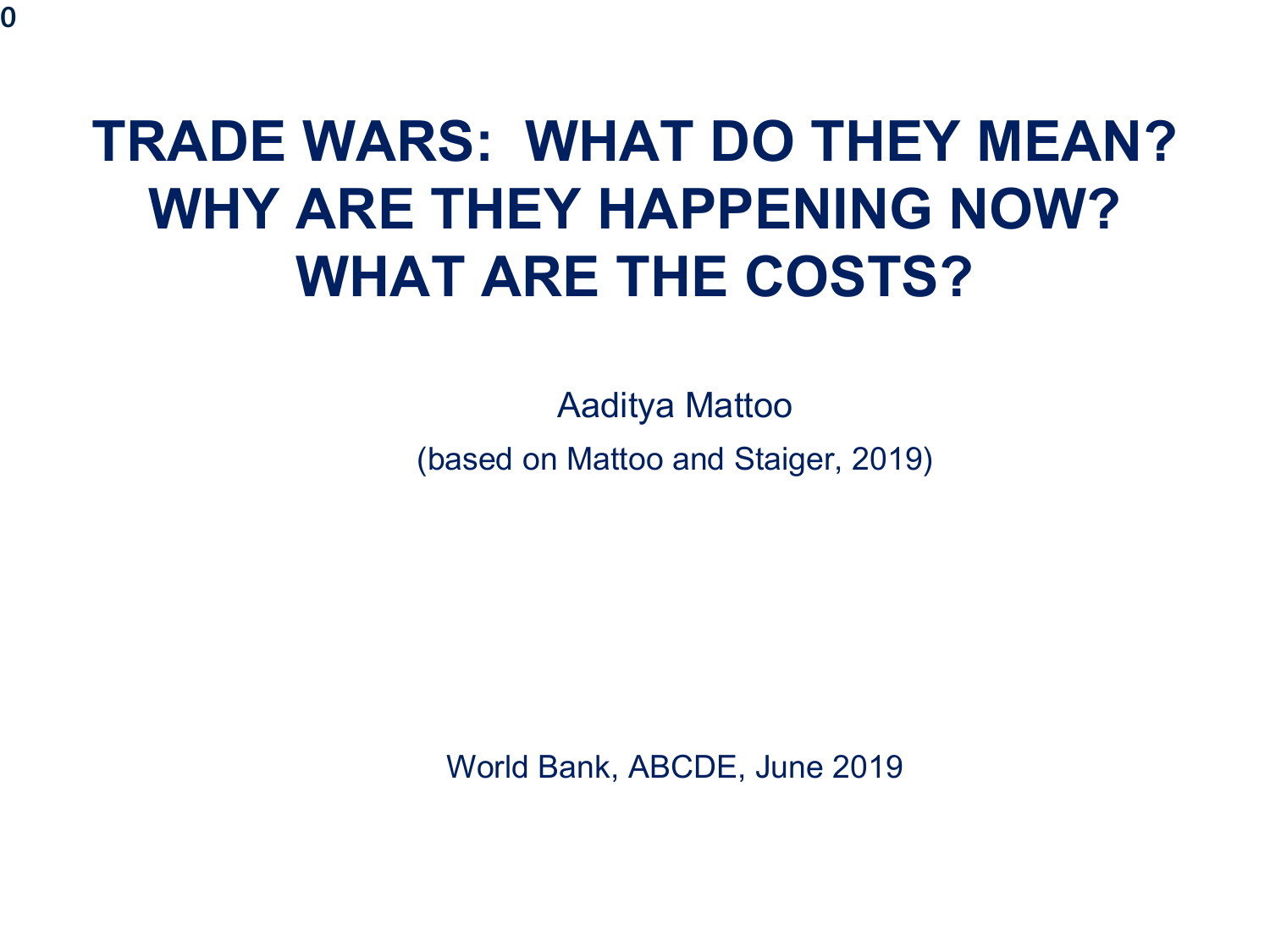# **TRADE WARS: WHAT DO THEY MEAN? WHY ARE THEY HAPPENING NOW? WHAT ARE THE COSTS?**

Aaditya Mattoo (based on Mattoo and Staiger, 2019)

World Bank, ABCDE, June 2019

**0**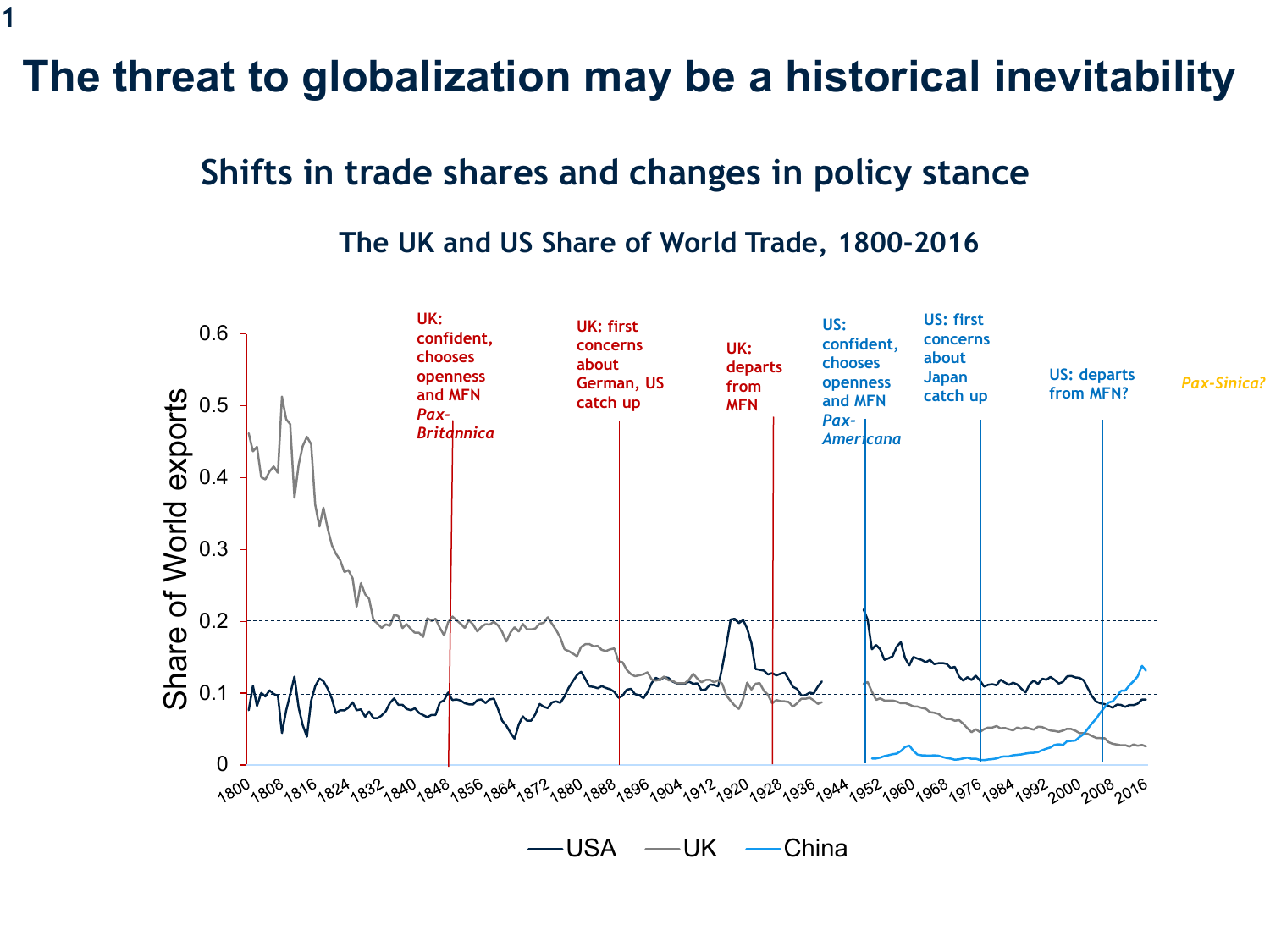#### **The threat to globalization may be a historical inevitability**

#### **Shifts in trade shares and changes in policy stance**

#### **The UK and US Share of World Trade, 1800-2016**

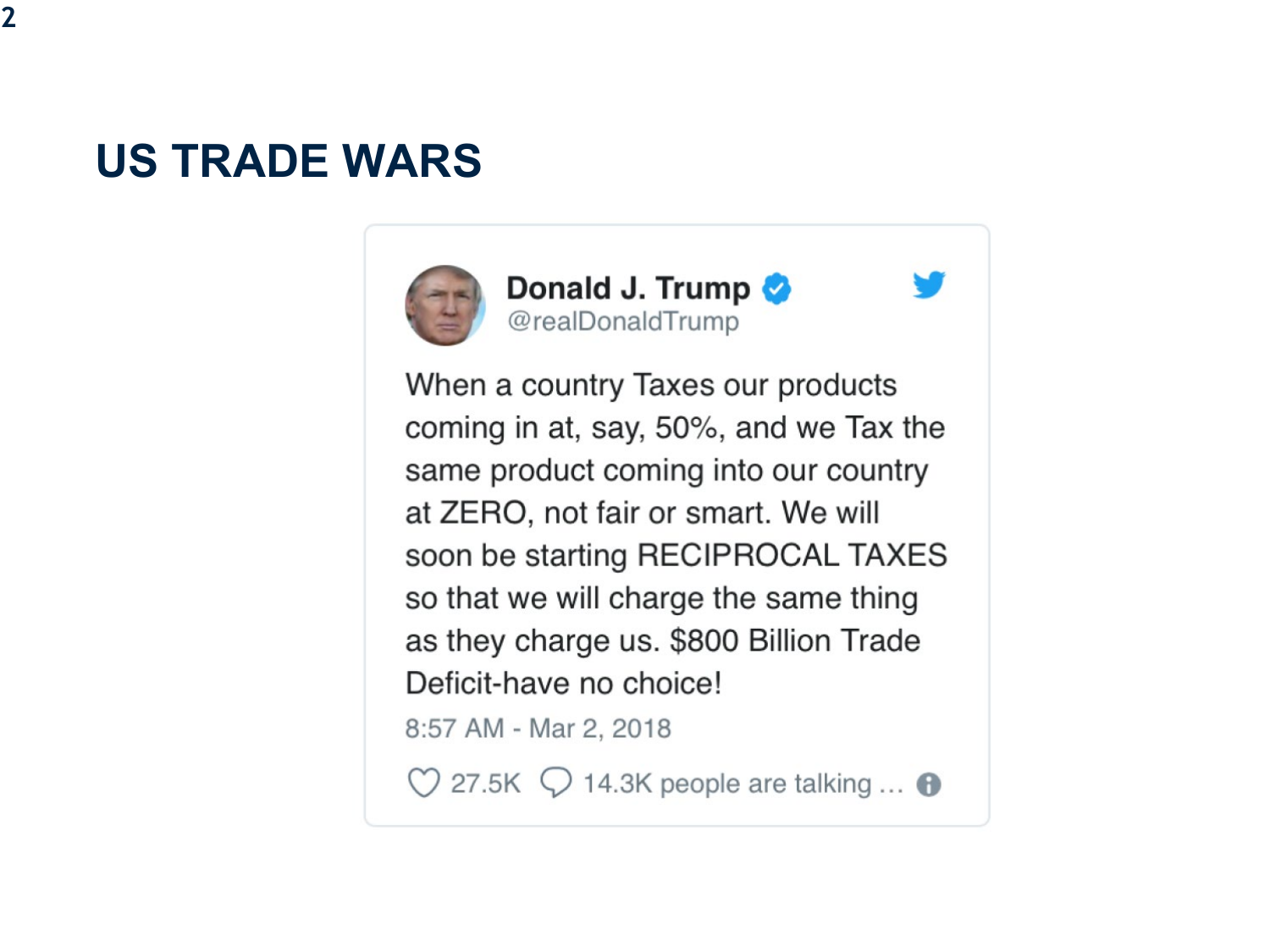### **US TRADE WARS**







When a country Taxes our products coming in at, say, 50%, and we Tax the same product coming into our country at ZERO, not fair or smart. We will soon be starting RECIPROCAL TAXES so that we will charge the same thing as they charge us. \$800 Billion Trade Deficit-have no choice! 8:57 AM - Mar 2, 2018

 $\heartsuit$  27.5K  $\heartsuit$  14.3K people are talking ...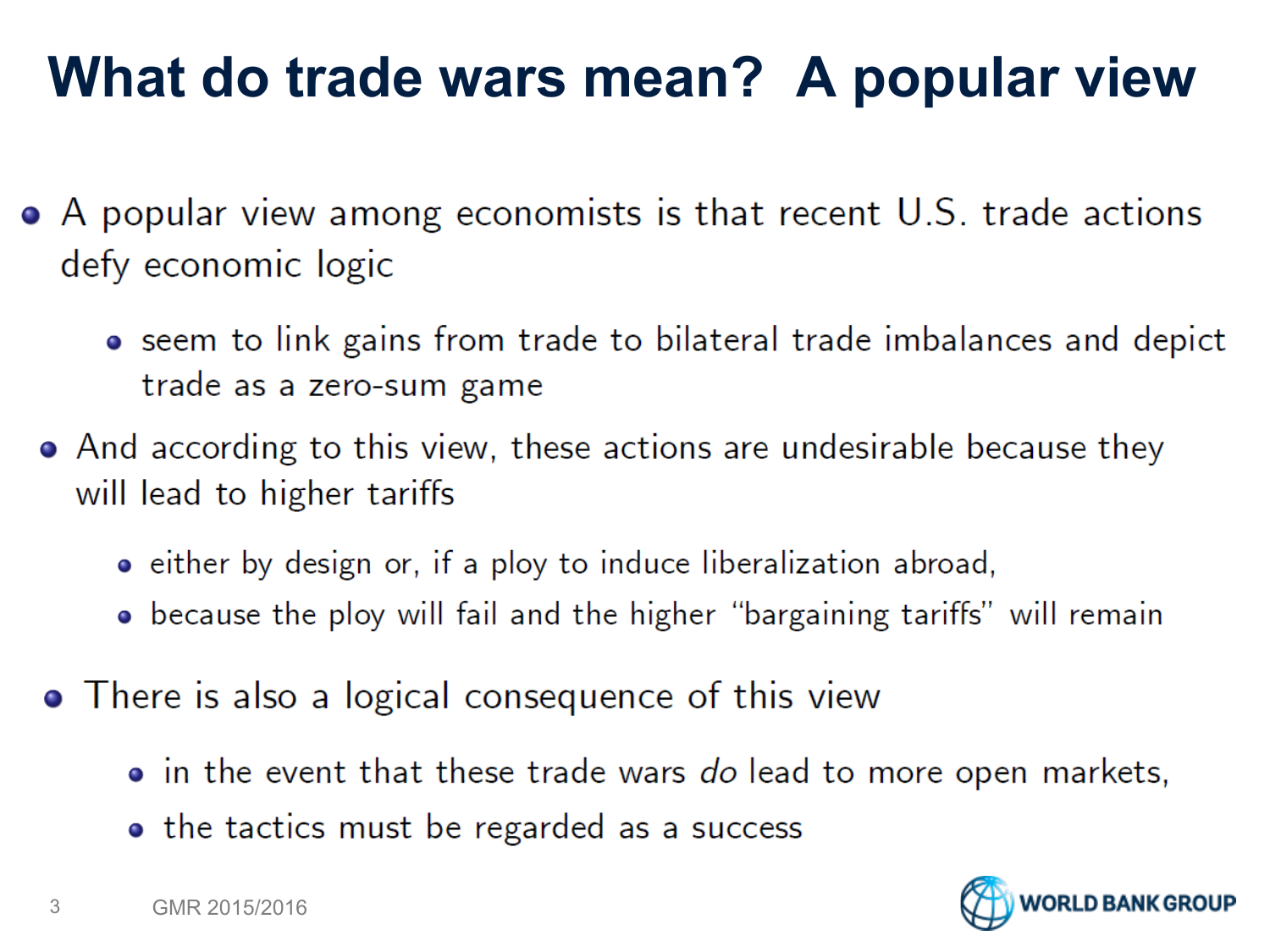# **What do trade wars mean? A popular view**

- A popular view among economists is that recent U.S. trade actions defy economic logic
	- seem to link gains from trade to bilateral trade imbalances and depict trade as a zero-sum game
	- And according to this view, these actions are undesirable because they will lead to higher tariffs
		- either by design or, if a ploy to induce liberalization abroad,
		- because the ploy will fail and the higher "bargaining tariffs" will remain
	- There is also a logical consequence of this view
		- in the event that these trade wars do lead to more open markets,
		- the tactics must be regarded as a success

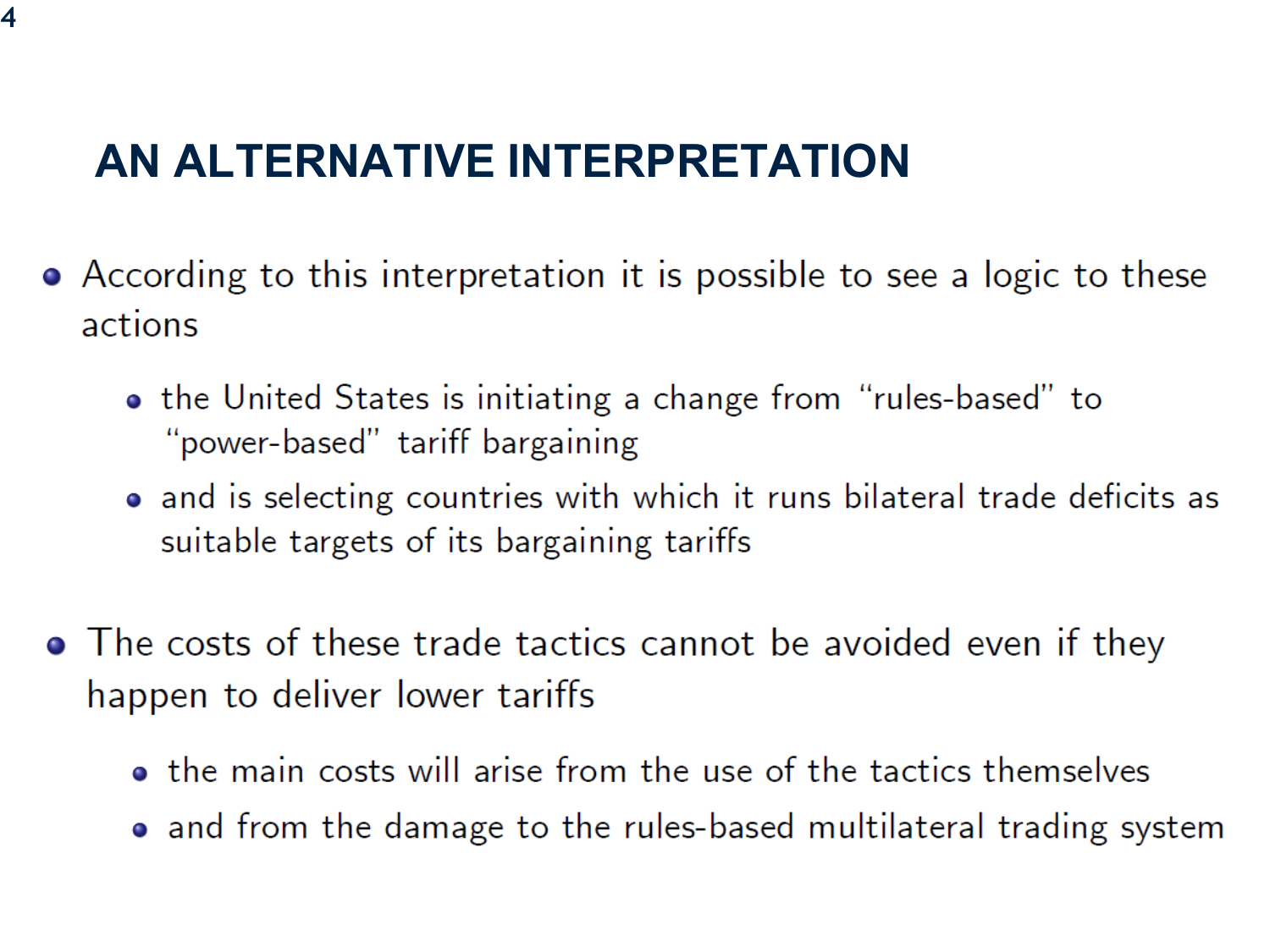### **AN ALTERNATIVE INTERPRETATION**

- According to this interpretation it is possible to see a logic to these actions
	- the United States is initiating a change from "rules-based" to "power-based" tariff bargaining
	- and is selecting countries with which it runs bilateral trade deficits as suitable targets of its bargaining tariffs
- The costs of these trade tactics cannot be avoided even if they happen to deliver lower tariffs
	- the main costs will arise from the use of the tactics themselves
	- and from the damage to the rules-based multilateral trading system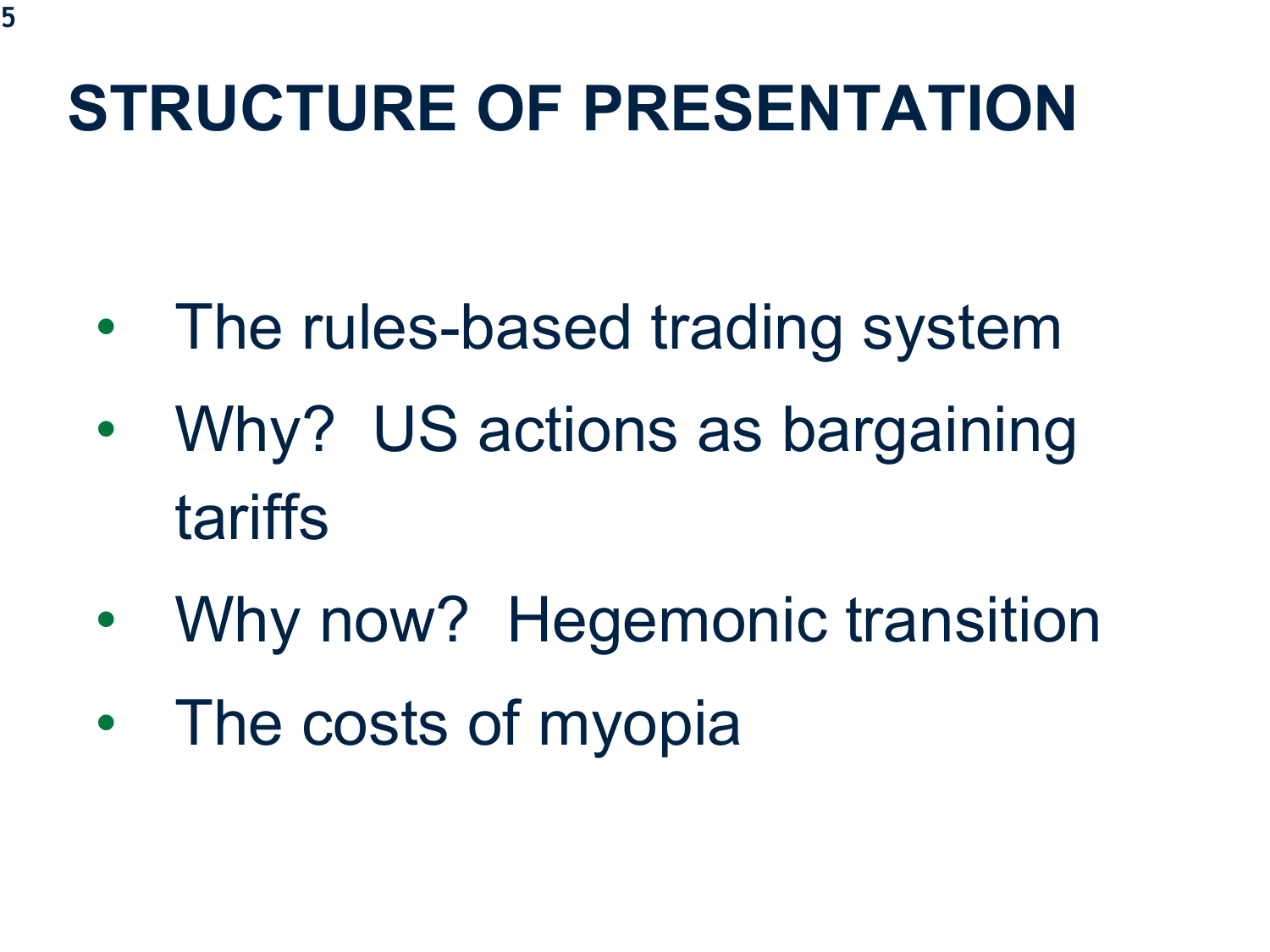# **STRUCTURE OF PRESENTATION**

- The rules-based trading system
- Why? US actions as bargaining tariffs
- Why now? Hegemonic transition
- The costs of myopia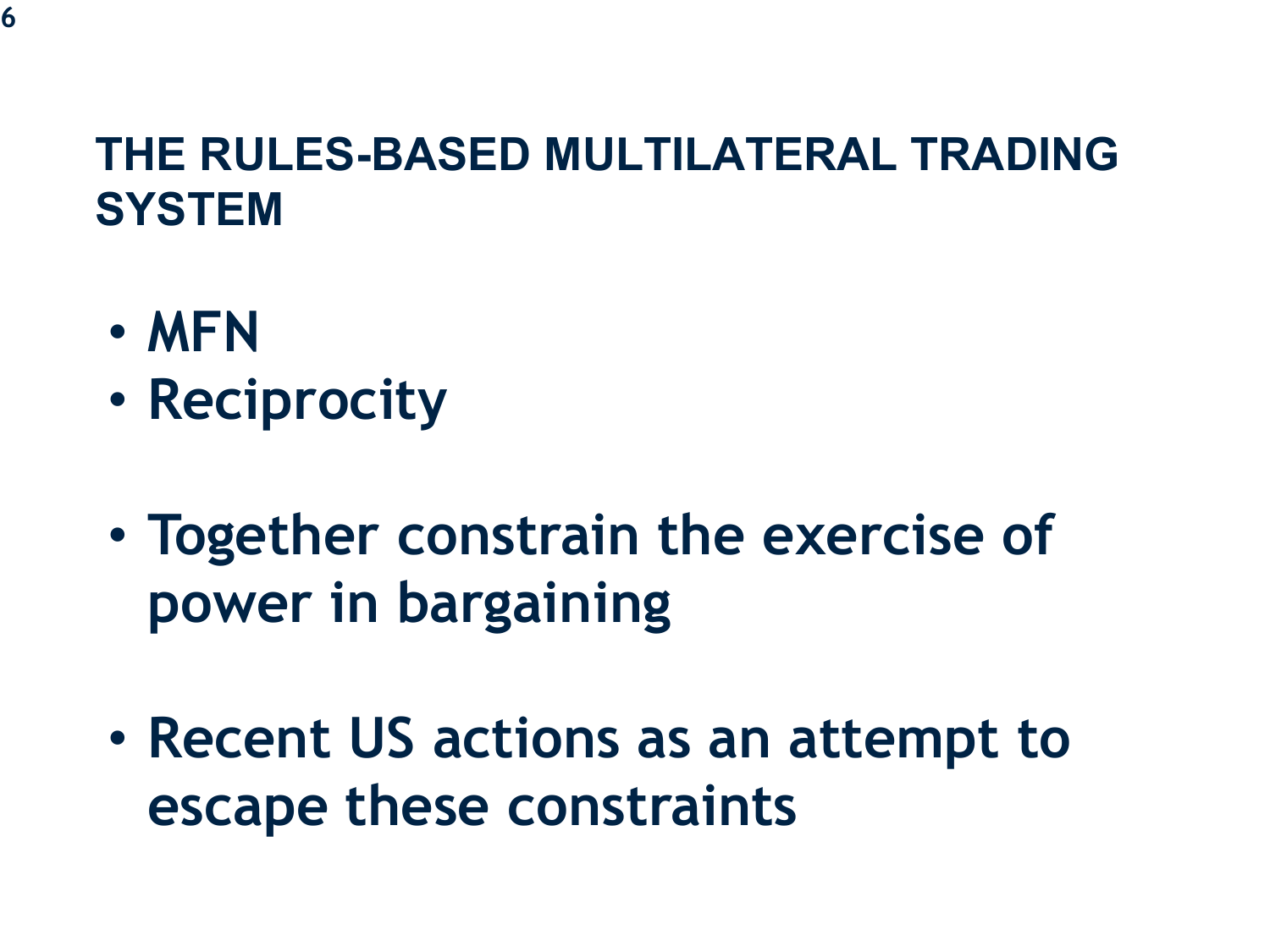#### **THE RULES-BASED MULTILATERAL TRADING SYSTEM**

- **MFN**
- **Reciprocity**
- **Together constrain the exercise of power in bargaining**
- **Recent US actions as an attempt to escape these constraints**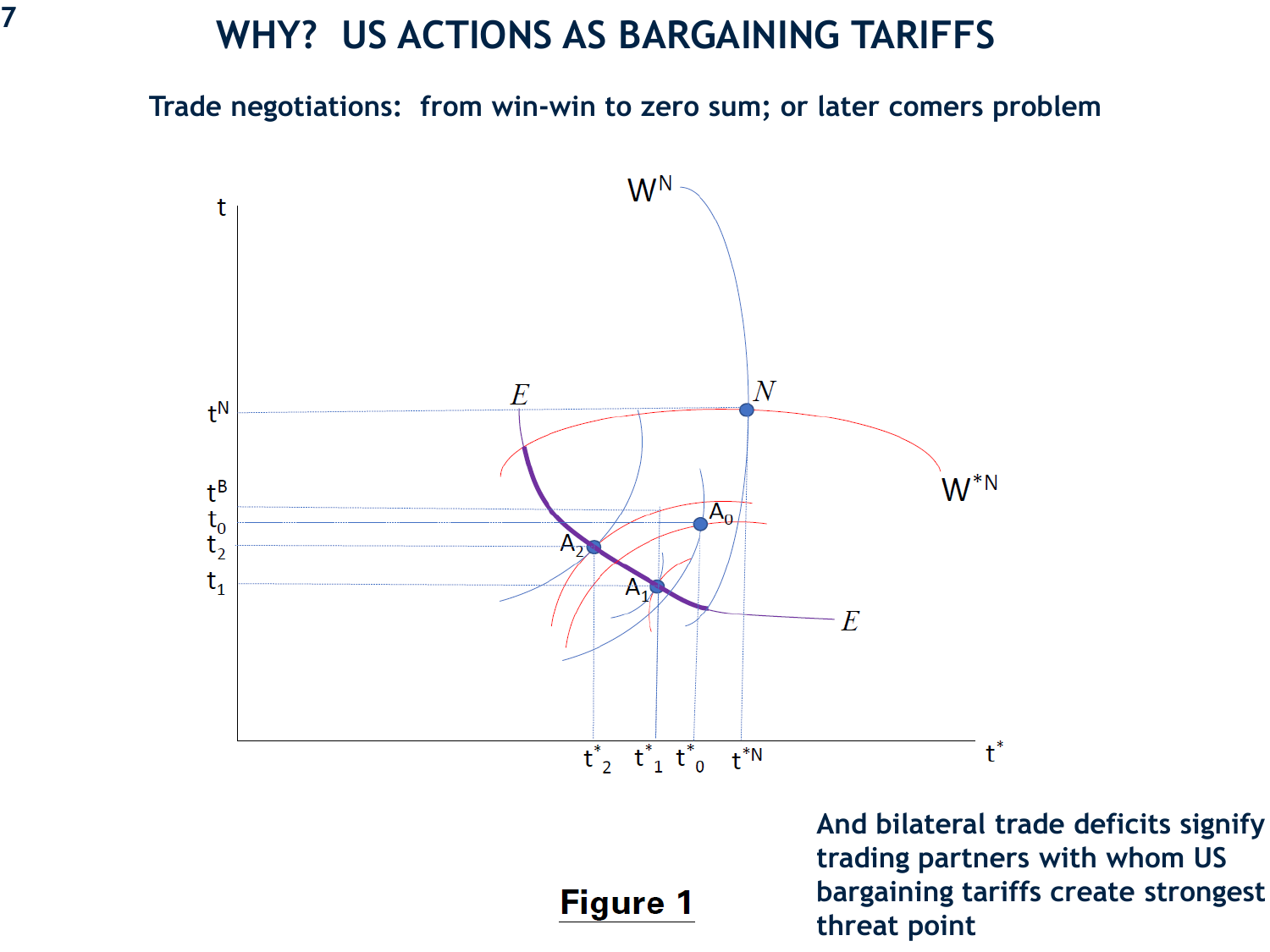## **WHY? US ACTIONS AS BARGAINING TARIFFS <sup>7</sup>**

**Trade negotiations: from win-win to zero sum; or later comers problem**



#### **Figure 1**

**And bilateral trade deficits signify trading partners with whom US bargaining tariffs create strongest threat point**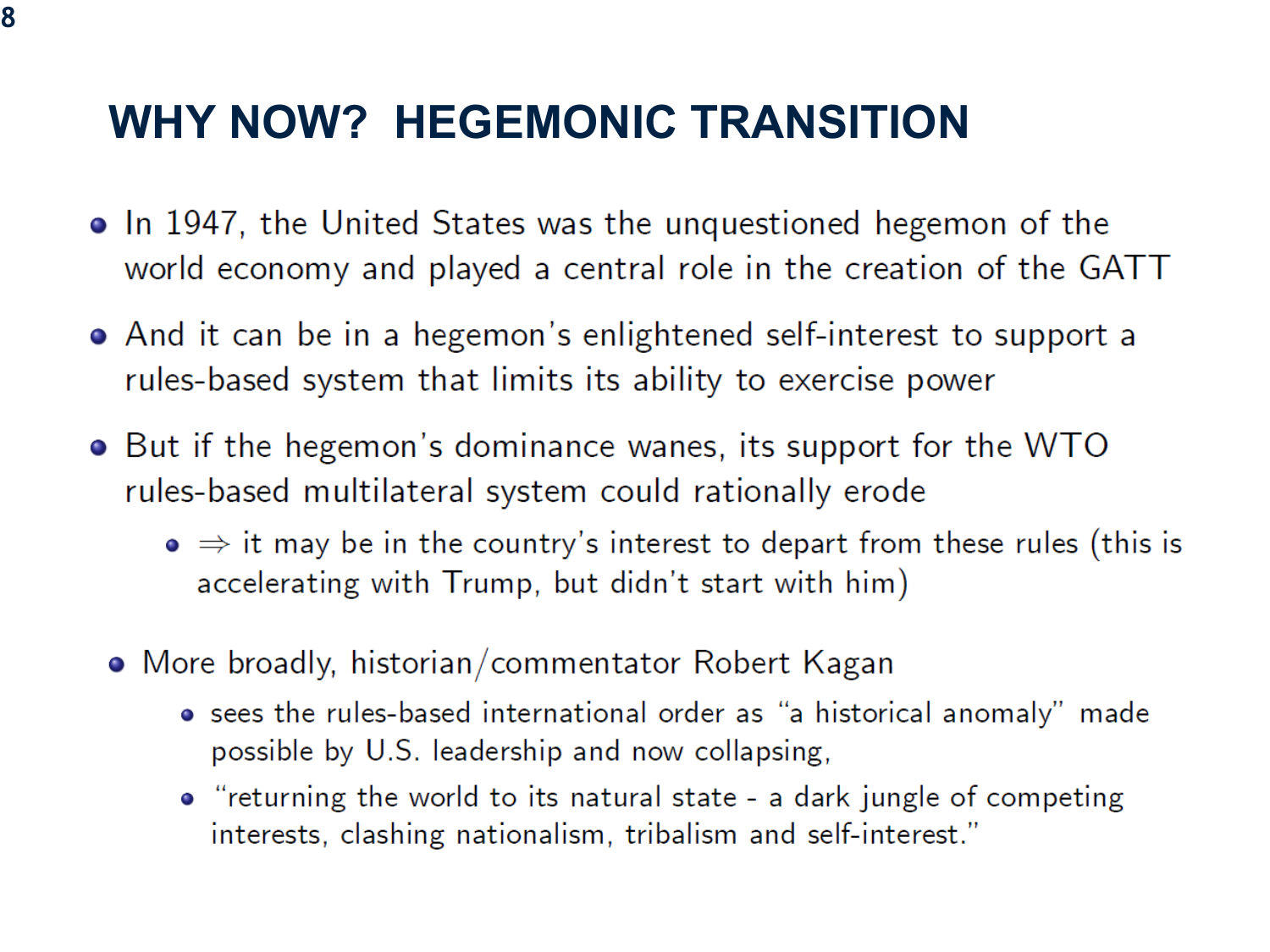- In 1947, the United States was the unquestioned hegemon of the world economy and played a central role in the creation of the GATT
- And it can be in a hegemon's enlightened self-interest to support a rules-based system that limits its ability to exercise power
- But if the hegemon's dominance wanes, its support for the WTO rules-based multilateral system could rationally erode
	- $\bullet \Rightarrow$  it may be in the country's interest to depart from these rules (this is accelerating with Trump, but didn't start with him)
	- More broadly, historian/commentator Robert Kagan
		- sees the rules-based international order as "a historical anomaly" made possible by U.S. leadership and now collapsing,
		- "returning the world to its natural state a dark jungle of competing interests, clashing nationalism, tribalism and self-interest."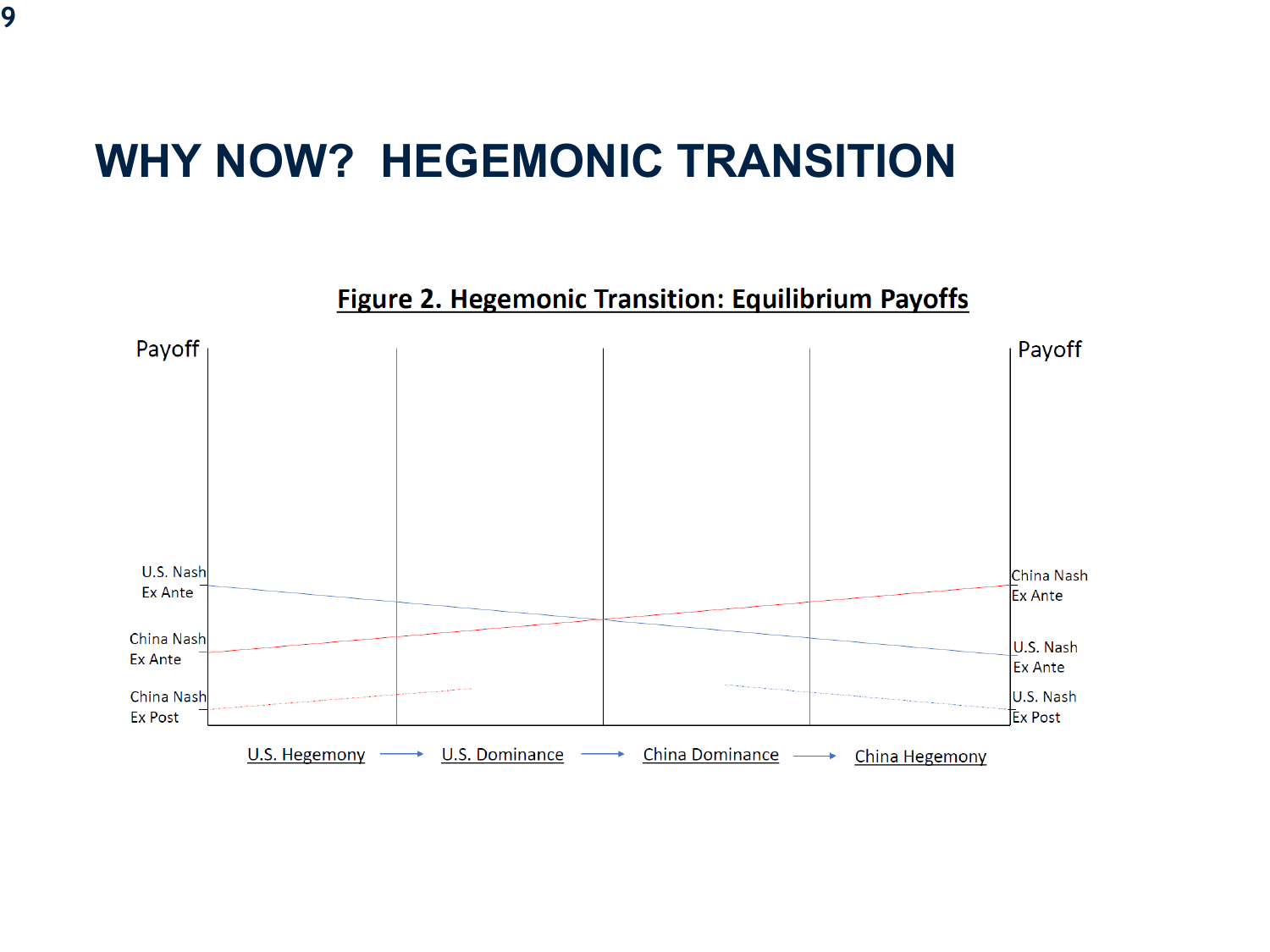**Figure 2. Hegemonic Transition: Equilibrium Payoffs** 

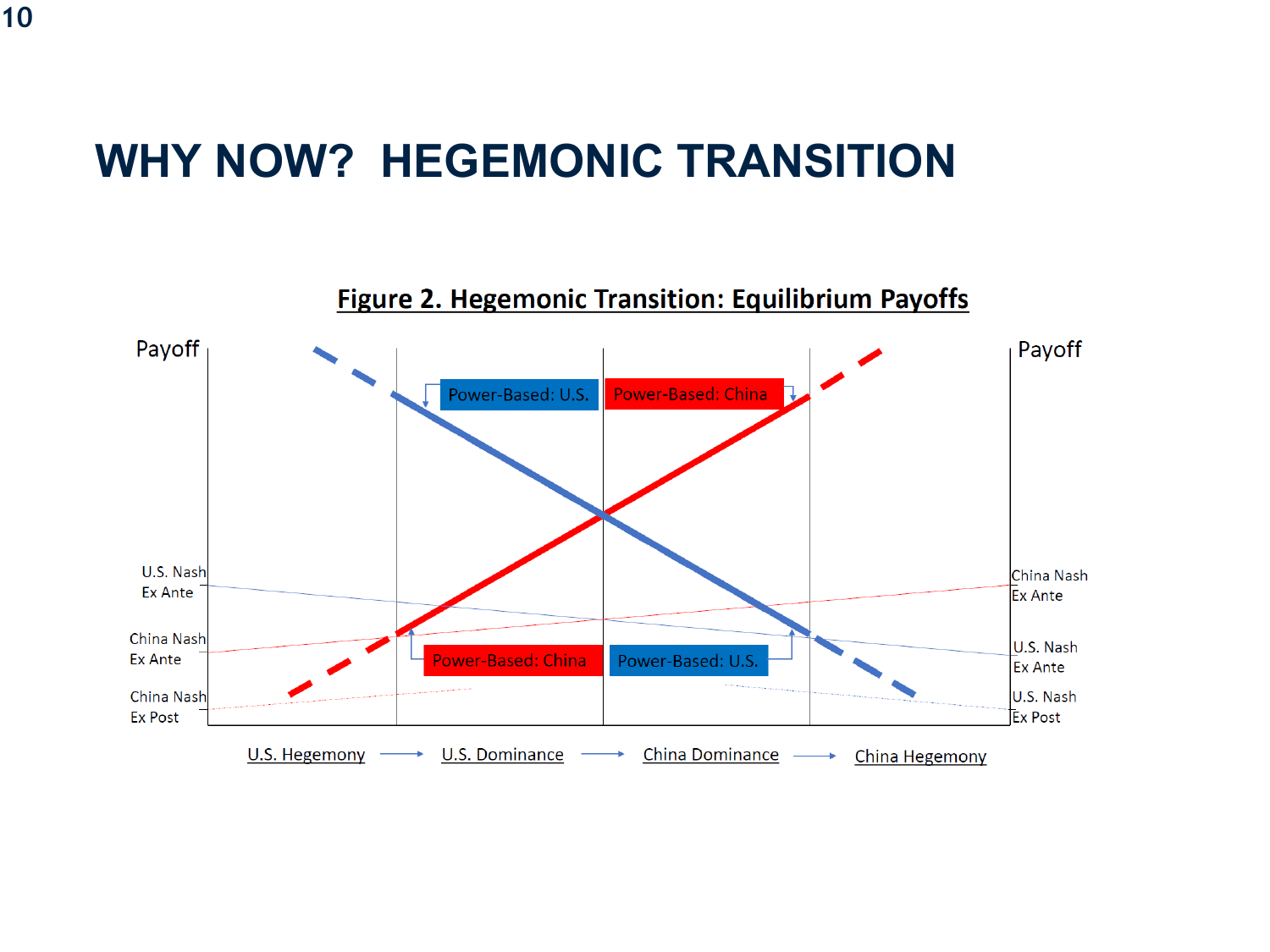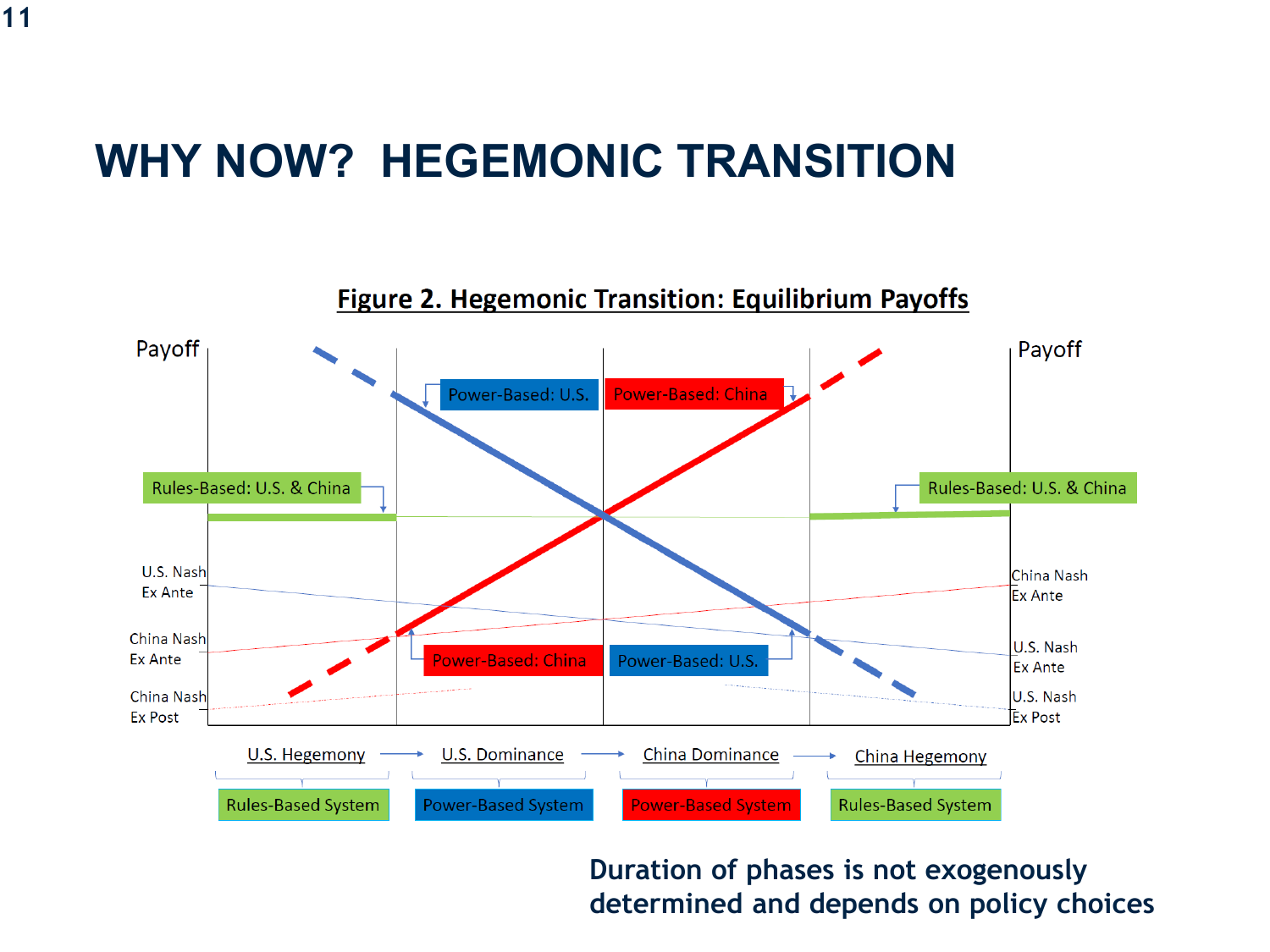

**Duration of phases is not exogenously determined and depends on policy choices**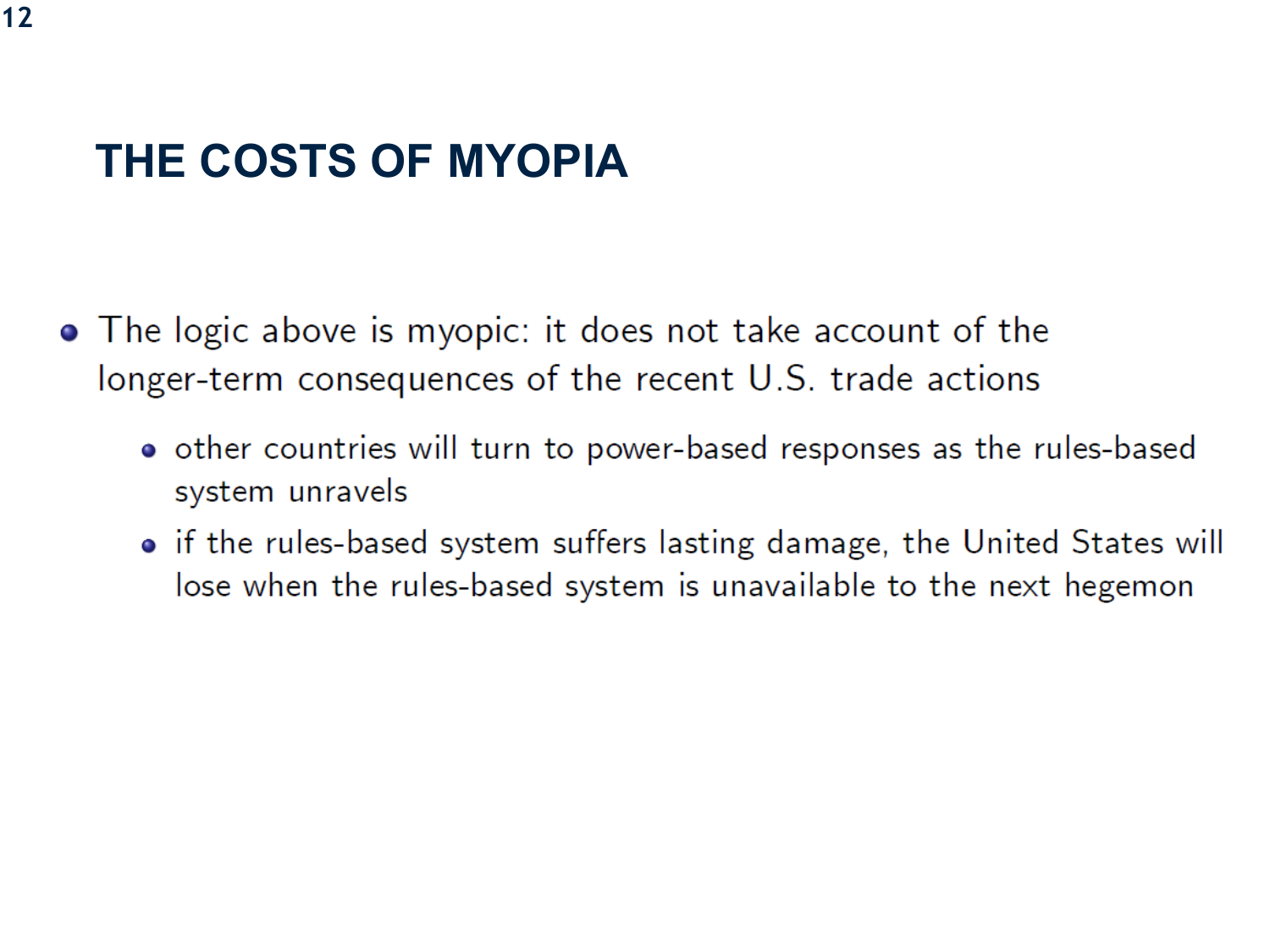- The logic above is myopic: it does not take account of the longer-term consequences of the recent U.S. trade actions
	- other countries will turn to power-based responses as the rules-based system unravels
	- if the rules-based system suffers lasting damage, the United States will lose when the rules-based system is unavailable to the next hegemon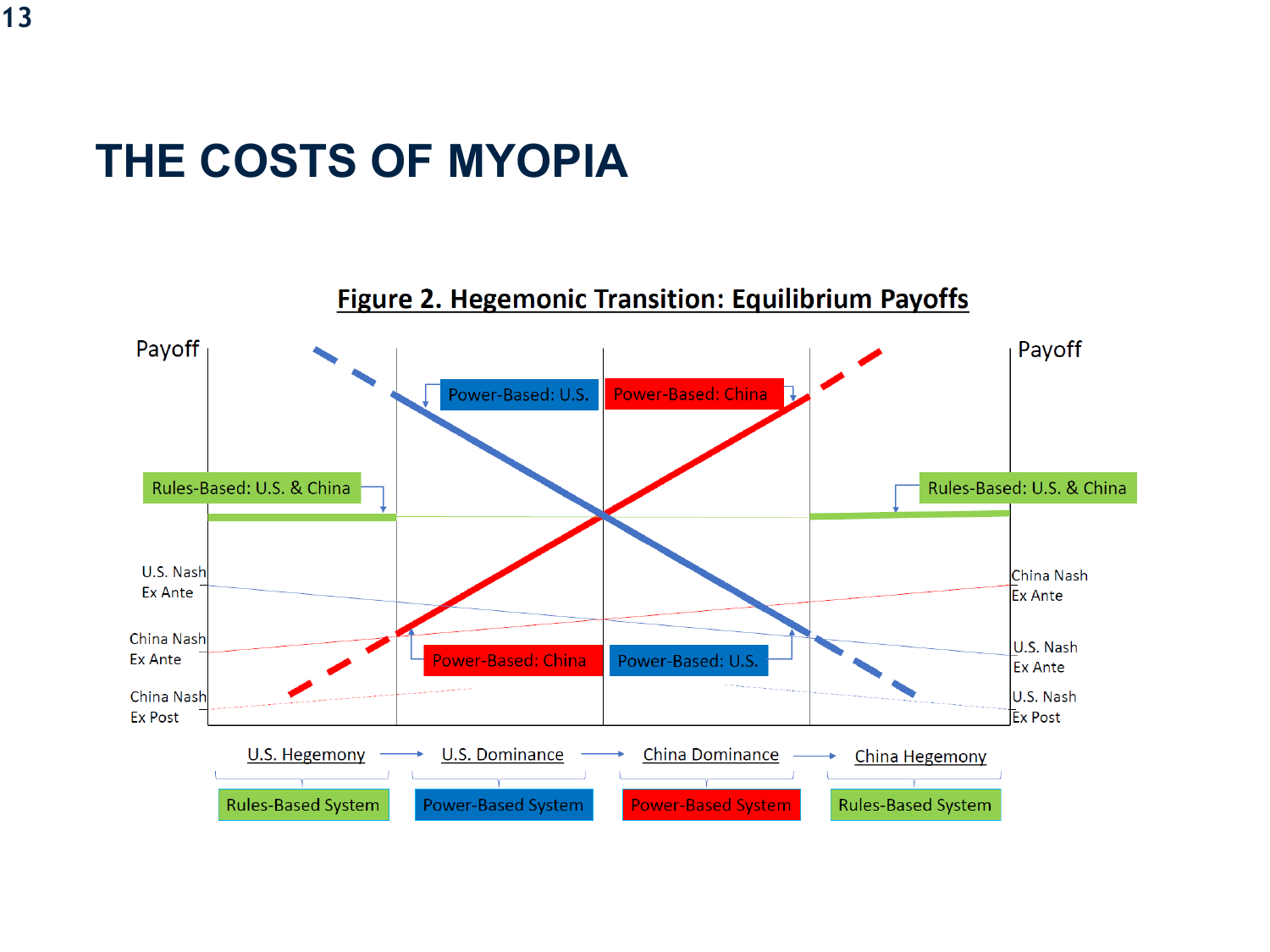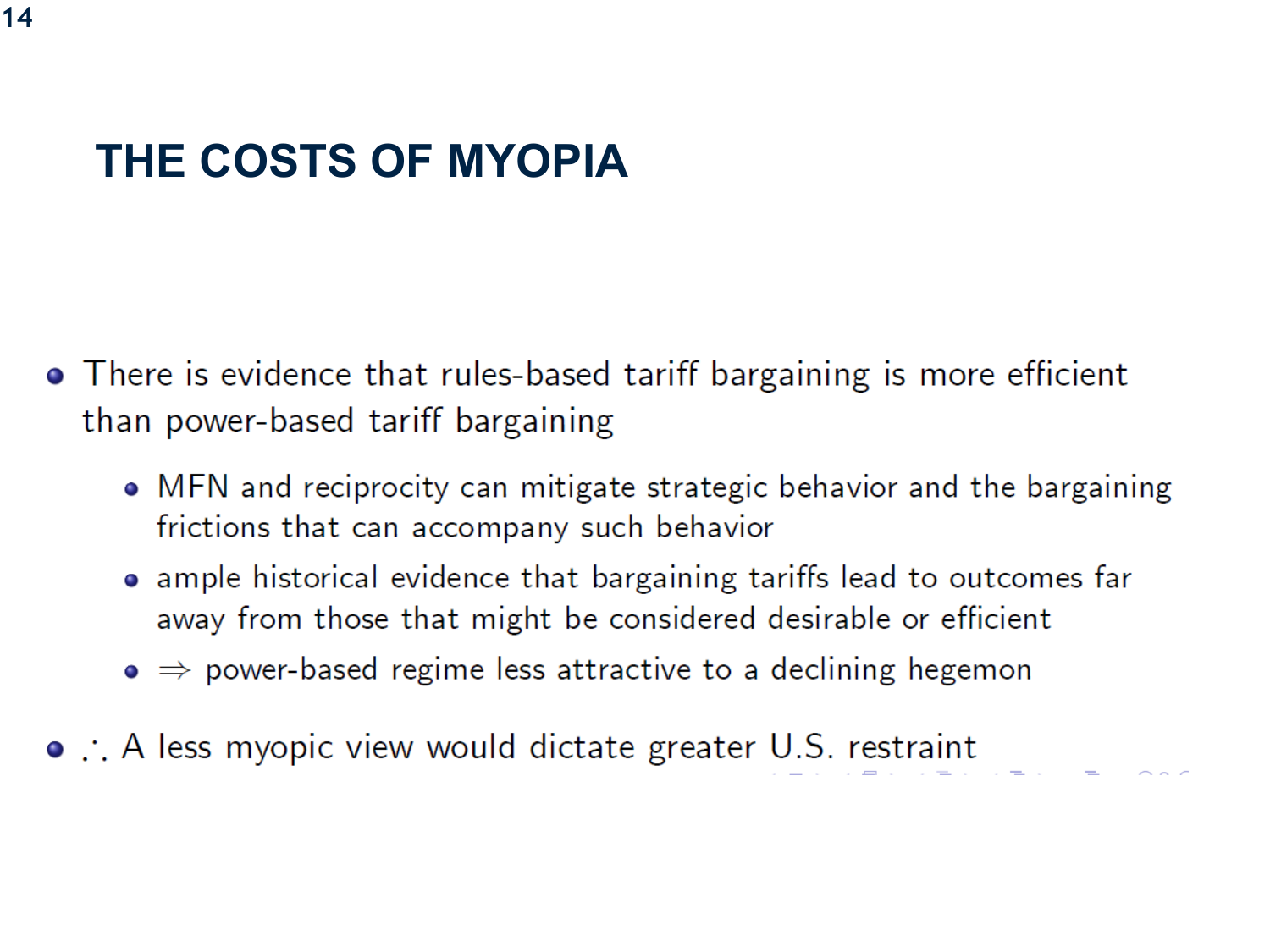- $\bullet$  There is evidence that rules-based tariff bargaining is more efficient than power-based tariff bargaining
	- MFN and reciprocity can mitigate strategic behavior and the bargaining frictions that can accompany such behavior
	- ample historical evidence that bargaining tariffs lead to outcomes far away from those that might be considered desirable or efficient
	- $\bullet \Rightarrow$  power-based regime less attractive to a declining hegemon
- . A less myopic view would dictate greater U.S. restraint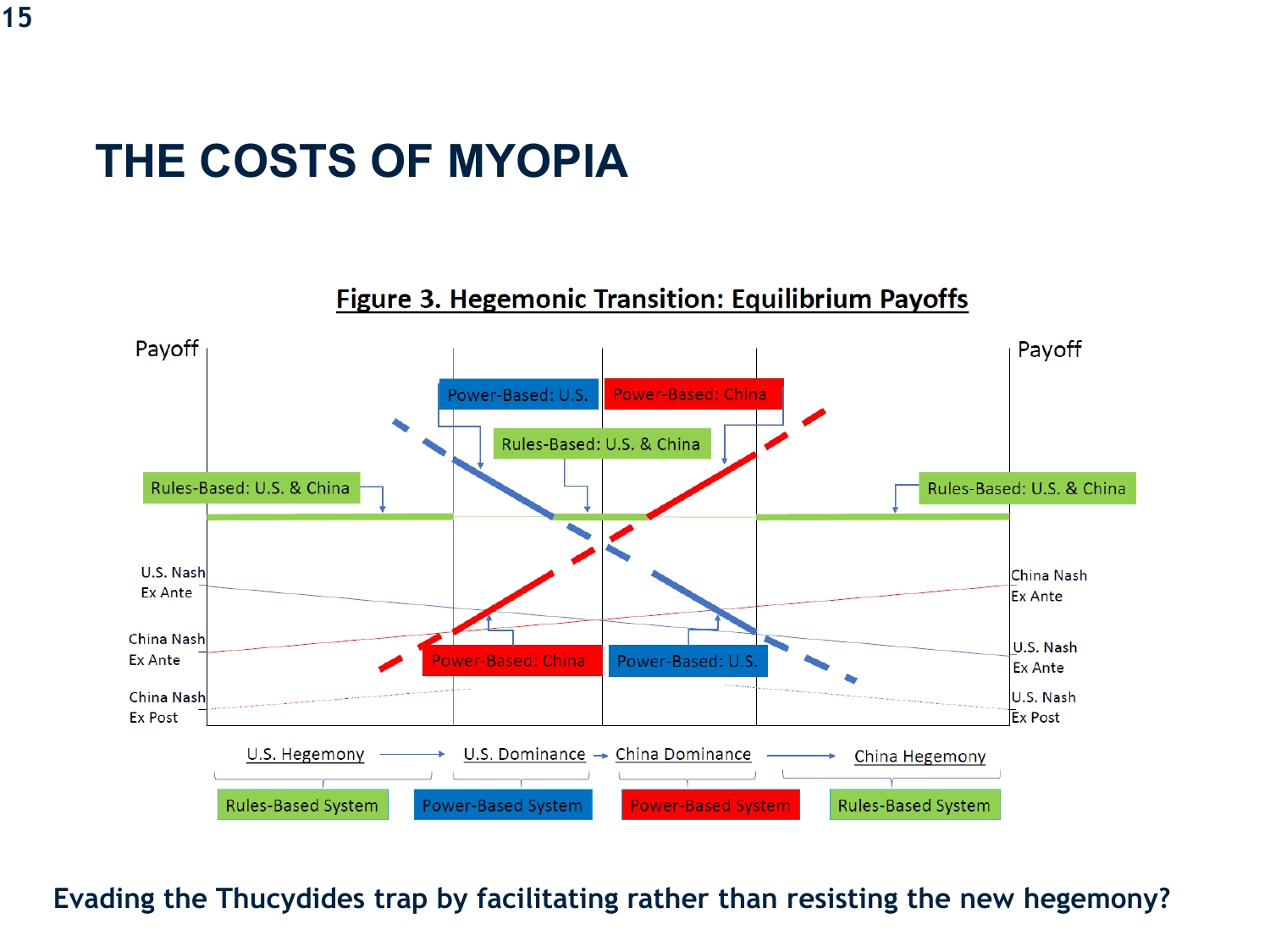#### **Figure 3. Hegemonic Transition: Equilibrium Payoffs**



**Evading the Thucydides trap by facilitating rather than resisting the new hegemony?**